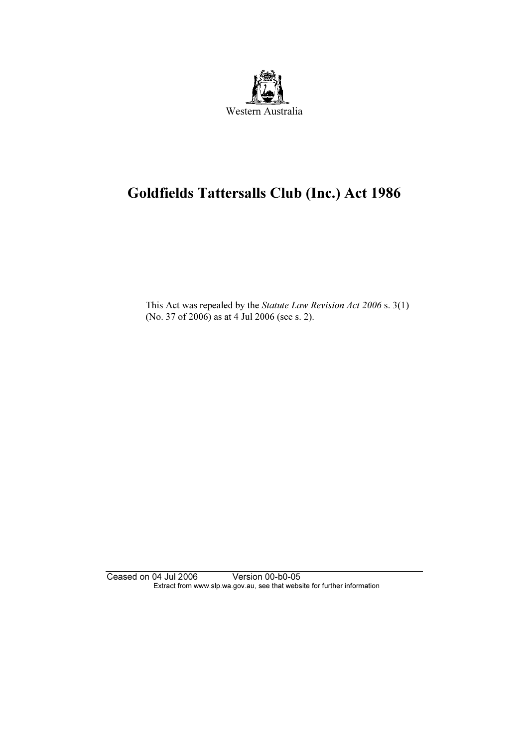

# Goldfields Tattersalls Club (Inc.) Act 1986

 This Act was repealed by the Statute Law Revision Act 2006 s. 3(1) (No. 37 of 2006) as at 4 Jul 2006 (see s. 2).

Ceased on 04 Jul 2006 Version 00-b0-05 Extract from www.slp.wa.gov.au, see that website for further information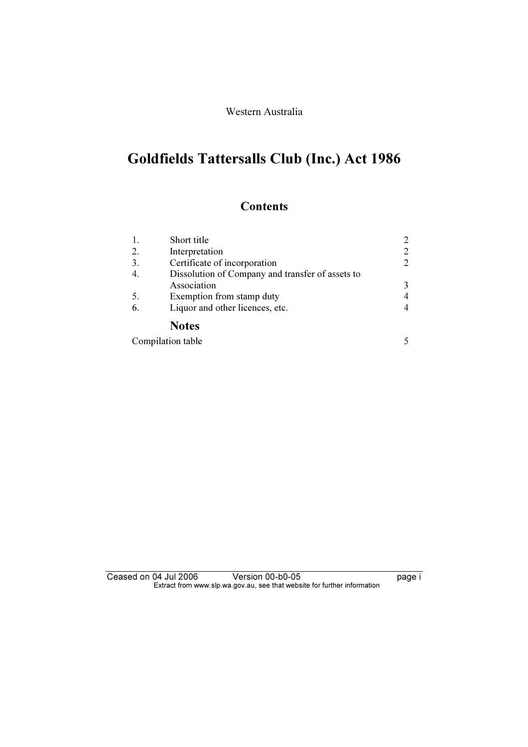Western Australia

# Goldfields Tattersalls Club (Inc.) Act 1986

# **Contents**

|     | Short title                                      | 2 |  |
|-----|--------------------------------------------------|---|--|
| 2.  | Interpretation                                   | 2 |  |
| 3.  | Certificate of incorporation                     | 2 |  |
|     | Dissolution of Company and transfer of assets to |   |  |
|     | Association                                      | 3 |  |
| -5. | Exemption from stamp duty                        | 4 |  |
| 6.  | Liquor and other licences, etc.                  | 4 |  |
|     | <b>Notes</b>                                     |   |  |
|     | Compilation table                                |   |  |

Ceased on 04 Jul 2006 Version 00-b0-05 page i Extract from www.slp.wa.gov.au, see that website for further information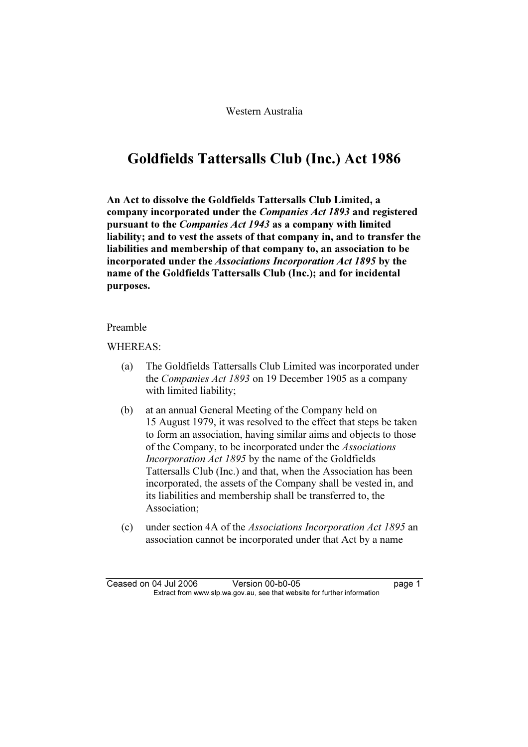# Goldfields Tattersalls Club (Inc.) Act 1986

An Act to dissolve the Goldfields Tattersalls Club Limited, a company incorporated under the Companies Act 1893 and registered pursuant to the Companies Act 1943 as a company with limited liability; and to vest the assets of that company in, and to transfer the liabilities and membership of that company to, an association to be incorporated under the Associations Incorporation Act 1895 by the name of the Goldfields Tattersalls Club (Inc.); and for incidental purposes.

#### Preamble

#### WHEREAS:

- (a) The Goldfields Tattersalls Club Limited was incorporated under the Companies Act 1893 on 19 December 1905 as a company with limited liability;
- (b) at an annual General Meeting of the Company held on 15 August 1979, it was resolved to the effect that steps be taken to form an association, having similar aims and objects to those of the Company, to be incorporated under the Associations Incorporation Act 1895 by the name of the Goldfields Tattersalls Club (Inc.) and that, when the Association has been incorporated, the assets of the Company shall be vested in, and its liabilities and membership shall be transferred to, the Association;
- (c) under section 4A of the Associations Incorporation Act 1895 an association cannot be incorporated under that Act by a name

Ceased on 04 Jul 2006 Version 00-b0-05 page 1<br>Extract from www.slp.wa.gov.au, see that website for further information  $\mathbf{F}$  from which was the set that we besite for further information  $\mathbf{F}$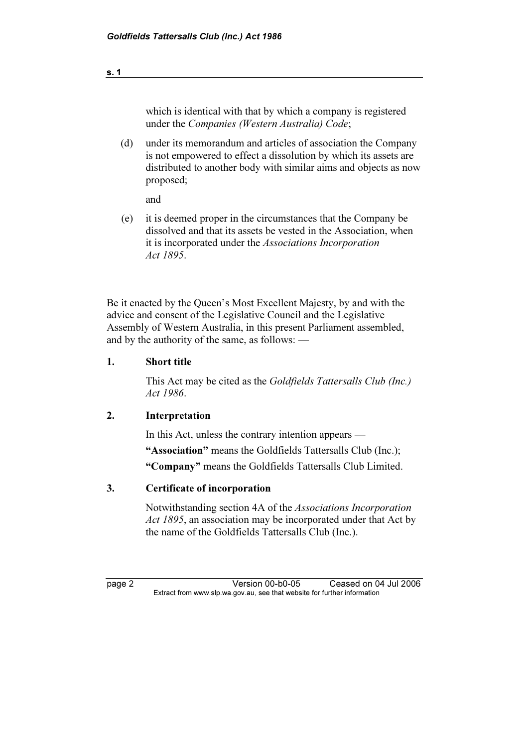which is identical with that by which a company is registered under the Companies (Western Australia) Code;

 (d) under its memorandum and articles of association the Company is not empowered to effect a dissolution by which its assets are distributed to another body with similar aims and objects as now proposed;

and

 (e) it is deemed proper in the circumstances that the Company be dissolved and that its assets be vested in the Association, when it is incorporated under the Associations Incorporation Act 1895.

Be it enacted by the Queen's Most Excellent Majesty, by and with the advice and consent of the Legislative Council and the Legislative Assembly of Western Australia, in this present Parliament assembled, and by the authority of the same, as follows: —

## 1. Short title

 This Act may be cited as the Goldfields Tattersalls Club (Inc.) Act 1986.

## 2. Interpretation

 In this Act, unless the contrary intention appears — "Association" means the Goldfields Tattersalls Club (Inc.);

"Company" means the Goldfields Tattersalls Club Limited.

## 3. Certificate of incorporation

 Notwithstanding section 4A of the Associations Incorporation Act 1895, an association may be incorporated under that Act by the name of the Goldfields Tattersalls Club (Inc.).

page 2 Version 00-b0-05 Ceased on 04 Jul 2006<br>Extract from www.slp.wa.gov.au, see that website for further information  $\mathbf{F}$  from which was the set that we besite for further information  $\mathbf{F}$ 

s. 1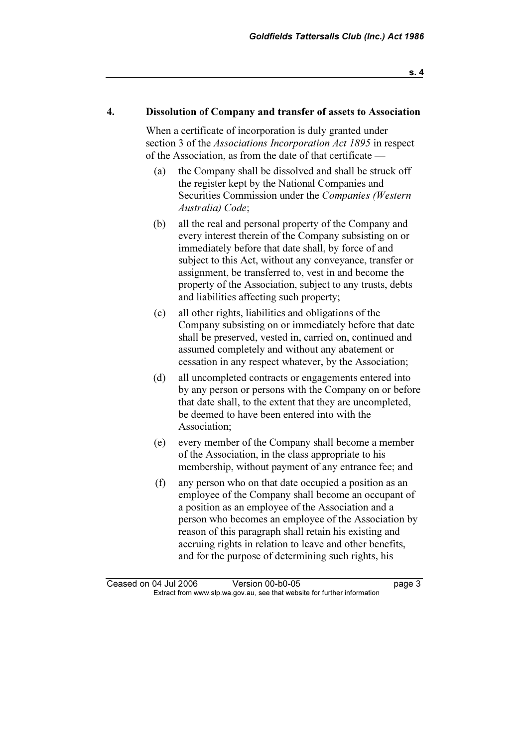#### 4. Dissolution of Company and transfer of assets to Association

 When a certificate of incorporation is duly granted under section 3 of the *Associations Incorporation Act 1895* in respect of the Association, as from the date of that certificate —

- (a) the Company shall be dissolved and shall be struck off the register kept by the National Companies and Securities Commission under the Companies (Western Australia) Code;
- (b) all the real and personal property of the Company and every interest therein of the Company subsisting on or immediately before that date shall, by force of and subject to this Act, without any conveyance, transfer or assignment, be transferred to, vest in and become the property of the Association, subject to any trusts, debts and liabilities affecting such property;
- (c) all other rights, liabilities and obligations of the Company subsisting on or immediately before that date shall be preserved, vested in, carried on, continued and assumed completely and without any abatement or cessation in any respect whatever, by the Association;
- (d) all uncompleted contracts or engagements entered into by any person or persons with the Company on or before that date shall, to the extent that they are uncompleted, be deemed to have been entered into with the Association;
- (e) every member of the Company shall become a member of the Association, in the class appropriate to his membership, without payment of any entrance fee; and
- (f) any person who on that date occupied a position as an employee of the Company shall become an occupant of a position as an employee of the Association and a person who becomes an employee of the Association by reason of this paragraph shall retain his existing and accruing rights in relation to leave and other benefits, and for the purpose of determining such rights, his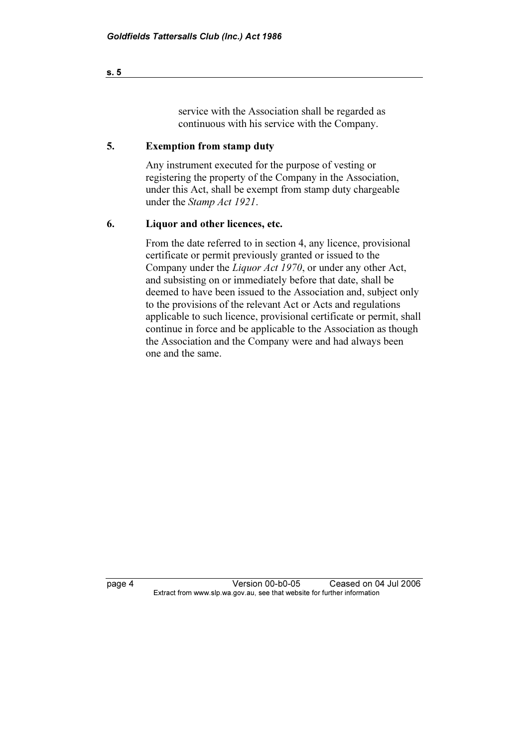#### service with the Association shall be regarded as continuous with his service with the Company.

#### 5. Exemption from stamp duty

 Any instrument executed for the purpose of vesting or registering the property of the Company in the Association, under this Act, shall be exempt from stamp duty chargeable under the Stamp Act 1921.

#### 6. Liquor and other licences, etc.

 From the date referred to in section 4, any licence, provisional certificate or permit previously granted or issued to the Company under the Liquor Act 1970, or under any other Act, and subsisting on or immediately before that date, shall be deemed to have been issued to the Association and, subject only to the provisions of the relevant Act or Acts and regulations applicable to such licence, provisional certificate or permit, shall continue in force and be applicable to the Association as though the Association and the Company were and had always been one and the same.

page 4 Version 00-b0-05 Ceased on 04 Jul 2006<br>Extract from www.slp.wa.gov.au, see that website for further information  $\mathbf{F}$  from which was the set that we besite for further information  $\mathbf{F}$ 

s. 5